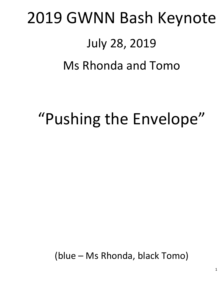# 2019 GWNN Bash Keynote July 28, 2019 Ms Rhonda and Tomo

## "Pushing the Envelope"

(blue – Ms Rhonda, black Tomo)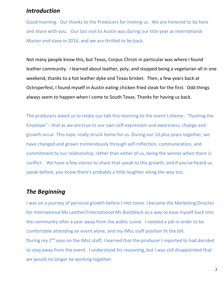#### Introduction

Good morning. Our thanks to the Producers for inviting us. We are honored to be here and share with you. Our last visit to Austin was during our title year as International Master and slave in 2016, and we are thrilled to be back.

Not many people know this, but Texas, Corpus Christi in particular was where I found leather community. I learned about leather, poly, and stopped being a vegetarian all in one weekend, thanks to a hot leather dyke and Texas brisket. Then, a few years back at Octroperfest, I found myself in Austin eating chicken fried steak for the first. Odd things always seem to happen when I come to South Texas. Thanks for having us back.

The producers asked us to relate our talk this morning to the event's theme - "Pushing the Envelope" - that as we are true to our own self-expression and awareness, change and growth occur. This topic really struck home for us. During our 10 plus years together, we have changed and grown tremendously through self-reflection, communication, and commitment to our relationship, rather than either of us, being the winner when there is conflict. We have a few stories to share that speak to this growth, and if you've heard us speak before, you know there's probably a little laughter along the way too.

#### The Beginning

I was on a journey of personal growth before I met tomo. I became the Marketing Director for International Ms Leather/International Ms Bootblack as a way to ease myself back into the community after a year away from the public scene. I needed a job in order to be comfortable attending an event alone, and my IMsL staff position fit the bill. During my 2<sup>nd</sup> year on the IMsL staff, I learned that the producer I reported to had decided to step away from the event. I understood his reasoning, but I was still disappointed that we would no longer be working together.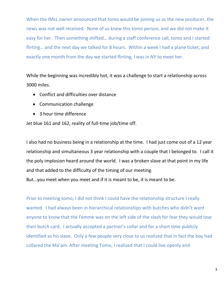When the IMsL owner announced that tomo would be joining us as the new producer, the news was not well received. None of us knew this tomo person, and we did not make it easy for her. Then something shifted… during a staff conference call, tomo and I started flirting… and the next day we talked for 8 hours. Within a week I had a plane ticket, and exactly one month from the day we started flirting, I was in NY to meet her.

While the beginning was incredibly hot, it was a challenge to start a relationship across 3000 miles.

- Conflict and difficulties over distance
- Communication challenge
- 3 hour time difference

Jet blue 161 and 162, reality of full-time job/time off.

I also had no business being in a relationship at the time. I had just come out of a 12 year relationship and simultaneous 3 year relationship with a couple that I belonged to. I call it the poly implosion heard around the world. I was a broken slave at that point in my life and that added to the difficulty of the timing of our meeting.

But…you meet when you meet and if it is meant to be, it is meant to be.

Prior to meeting tomo, I did not think I could have the relationship structure I really wanted. I had always been in hierarchical relationships with butches who didn't want anyone to know that the Femme was on the left side of the slash for fear they would lose their butch card. I actually accepted a partner's collar and for a short time publicly identified as his slave. Only a few people very close to us realized that in fact the boy had collared the Ma'am. After meeting Tomo, I realized that I could live openly and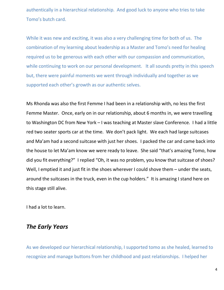authentically in a hierarchical relationship. And good luck to anyone who tries to take Tomo's butch card.

While it was new and exciting, it was also a very challenging time for both of us. The combination of my learning about leadership as a Master and Tomo's need for healing required us to be generous with each other with our compassion and communication, while continuing to work on our personal development. It all sounds pretty in this speech but, there were painful moments we went through individually and together as we supported each other's growth as our authentic selves.

Ms Rhonda was also the first Femme I had been in a relationship with, no less the first Femme Master. Once, early on in our relationship, about 6 months in, we were travelling to Washington DC from New York – I was teaching at Master slave Conference. I had a little red two seater sports car at the time. We don't pack light. We each had large suitcases and Ma'am had a second suitcase with just her shoes. I packed the car and came back into the house to let Ma'am know we were ready to leave. She said "that's amazing Tomo, how did you fit everything?" I replied "Oh, it was no problem, you know that suitcase of shoes? Well, I emptied it and just fit in the shoes wherever I could shove them – under the seats, around the suitcases in the truck, even in the cup holders." It is amazing I stand here on this stage still alive.

I had a lot to learn.

#### The Early Years

As we developed our hierarchical relationship, I supported tomo as she healed, learned to recognize and manage buttons from her childhood and past relationships. I helped her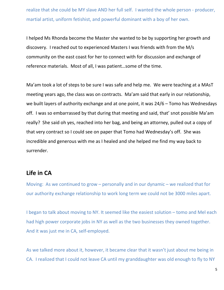realize that she could be MY slave AND her full self. I wanted the whole person - producer, martial artist, uniform fetishist, and powerful dominant with a boy of her own.

I helped Ms Rhonda become the Master she wanted to be by supporting her growth and discovery. I reached out to experienced Masters I was friends with from the M/s community on the east coast for her to connect with for discussion and exchange of reference materials. Most of all, I was patient…some of the time.

Ma'am took a lot of steps to be sure I was safe and help me. We were teaching at a MAsT meeting years ago, the class was on contracts. Ma'am said that early in our relationship, we built layers of authority exchange and at one point, it was 24/6 – Tomo has Wednesdays off. I was so embarrassed by that during that meeting and said, that' snot possible Ma'am really? She said oh yes, reached into her bag, and being an attorney, pulled out a copy of that very contract so I could see on paper that Tomo had Wednesday's off. She was incredible and generous with me as I healed and she helped me find my way back to surrender.

#### Life in CA

Moving: As we continued to grow – personally and in our dynamic – we realized that for our authority exchange relationship to work long term we could not be 3000 miles apart.

I began to talk about moving to NY. It seemed like the easiest solution – tomo and Mel each had high power corporate jobs in NY as well as the two businesses they owned together. And it was just me in CA, self-employed.

As we talked more about it, however, it became clear that it wasn't just about me being in CA. I realized that I could not leave CA until my granddaughter was old enough to fly to NY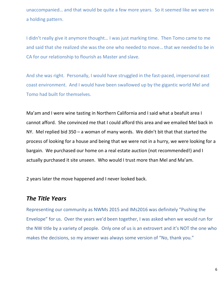unaccompanied… and that would be quite a few more years. So it seemed like we were in a holding pattern.

I didn't really give it anymore thought… I was just marking time. Then Tomo came to me and said that she realized she was the one who needed to move… that we needed to be in CA for our relationship to flourish as Master and slave.

And she was right. Personally, I would have struggled in the fast-paced, impersonal east coast environment. And I would have been swallowed up by the gigantic world Mel and Tomo had built for themselves.

Ma'am and I were wine tasting in Northern California and I said what a beafuit area I cannot afford. She convinced me that I could afford this area and we emailed Mel back in NY. Mel replied bid 350 – a woman of many words. We didn't bit that that started the process of looking for a house and being that we were not in a hurry, we were looking for a bargain. We purchased our home on a real estate auction (not recommended!) and I actually purchased it site unseen. Who would I trust more than Mel and Ma'am.

2 years later the move happened and I never looked back.

#### The Title Years

Representing our community as NWMs 2015 and IMs2016 was definitely "Pushing the Envelope" for us. Over the years we'd been together, I was asked when we would run for the NW title by a variety of people. Only one of us is an extrovert and it's NOT the one who makes the decisions, so my answer was always some version of "No, thank you."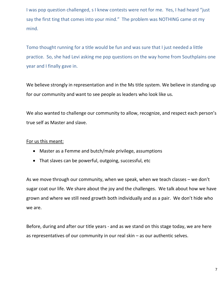I was pop question challenged, s I knew contests were not for me. Yes, I had heard "just say the first ting that comes into your mind." The problem was NOTHING came ot my mind.

Tomo thought running for a title would be fun and was sure that I just needed a little practice. So, she had Levi asking me pop questions on the way home from Southplains one year and I finally gave in.

We believe strongly in representation and in the Ms title system. We believe in standing up for our community and want to see people as leaders who look like us.

We also wanted to challenge our community to allow, recognize, and respect each person's true self as Master and slave.

#### For us this meant:

- Master as a Femme and butch/male privilege, assumptions
- That slaves can be powerful, outgoing, successful, etc

As we move through our community, when we speak, when we teach classes – we don't sugar coat our life. We share about the joy and the challenges. We talk about how we have grown and where we still need growth both individually and as a pair. We don't hide who we are.

Before, during and after our title years - and as we stand on this stage today, we are here as representatives of our community in our real skin – as our authentic selves.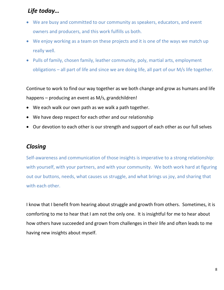### Life today…

- We are busy and committed to our community as speakers, educators, and event owners and producers, and this work fulfills us both.
- We enjoy working as a team on these projects and it is one of the ways we match up really well.
- Pulls of family, chosen family, leather community, poly, martial arts, employment obligations – all part of life and since we are doing life, all part of our M/s life together.

Continue to work to find our way together as we both change and grow as humans and life happens – producing an event as M/s, grandchildren!

- We each walk our own path as we walk a path together.
- We have deep respect for each other and our relationship
- Our devotion to each other is our strength and support of each other as our full selves

#### **Closing**

Self-awareness and communication of those insights is imperative to a strong relationship: with yourself, with your partners, and with your community. We both work hard at figuring out our buttons, needs, what causes us struggle, and what brings us joy, and sharing that with each other.

I know that I benefit from hearing about struggle and growth from others. Sometimes, it is comforting to me to hear that I am not the only one. It is insightful for me to hear about how others have succeeded and grown from challenges in their life and often leads to me having new insights about myself.